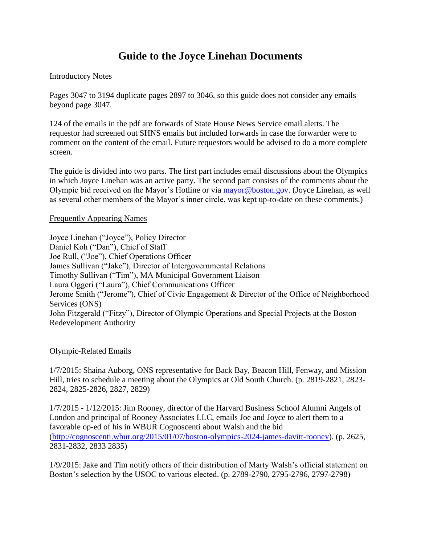# **Guide to the Joyce Linehan Documents**

## Introductory Notes

Pages 3047 to 3194 duplicate pages 2897 to 3046, so this guide does not consider any emails beyond page 3047.

124 of the emails in the pdf are forwards of State House News Service email alerts. The requestor had screened out SHNS emails but included forwards in case the forwarder were to comment on the content of the email. Future requestors would be advised to do a more complete screen.

The guide is divided into two parts. The first part includes email discussions about the Olympics in which Joyce Linehan was an active party. The second part consists of the comments about the Olympic bid received on the Mayor's Hotline or via [mayor@boston.gov.](mailto:mayor@boston.gov) (Joyce Linehan, as well as several other members of the Mayor's inner circle, was kept up-to-date on these comments.)

### Frequently Appearing Names

Joyce Linehan ("Joyce"), Policy Director Daniel Koh ("Dan"), Chief of Staff Joe Rull, ("Joe"), Chief Operations Officer James Sullivan ("Jake"), Director of Intergovernmental Relations Timothy Sullivan ("Tim"), MA Municipal Government Liaison Laura Oggeri ("Laura"), Chief Communications Officer Jerome Smith ("Jerome"), Chief of Civic Engagement & Director of the Office of Neighborhood Services (ONS) John Fitzgerald ("Fitzy"), Director of Olympic Operations and Special Projects at the Boston Redevelopment Authority

# Olympic-Related Emails

1/7/2015: Shaina Auborg, ONS representative for Back Bay, Beacon Hill, Fenway, and Mission Hill, tries to schedule a meeting about the Olympics at Old South Church. (p. 2819-2821, 2823- 2824, 2825-2826, 2827, 2829)

1/7/2015 - 1/12/2015: Jim Rooney, director of the Harvard Business School Alumni Angels of London and principal of Rooney Associates LLC, emails Joe and Joyce to alert them to a favorable op-ed of his in WBUR Cognoscenti about Walsh and the bid [\(http://cognoscenti.wbur.org/2015/01/07/boston-olympics-2024-james-davitt-rooney\)](http://cognoscenti.wbur.org/2015/01/07/boston-olympics-2024-james-davitt-rooney). (p. 2625, 2831-2832, 2833 2835)

1/9/2015: Jake and Tim notify others of their distribution of Marty Walsh's official statement on Boston's selection by the USOC to various elected. (p. 2789-2790, 2795-2796, 2797-2798)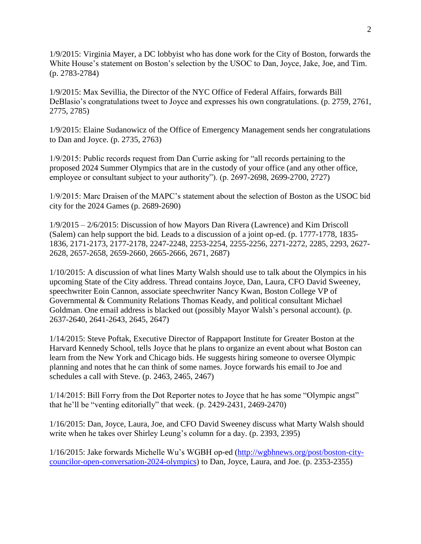1/9/2015: Virginia Mayer, a DC lobbyist who has done work for the City of Boston, forwards the White House's statement on Boston's selection by the USOC to Dan, Joyce, Jake, Joe, and Tim. (p. 2783-2784)

1/9/2015: Max Sevillia, the Director of the NYC Office of Federal Affairs, forwards Bill DeBlasio's congratulations tweet to Joyce and expresses his own congratulations. (p. 2759, 2761, 2775, 2785)

1/9/2015: Elaine Sudanowicz of the Office of Emergency Management sends her congratulations to Dan and Joyce. (p. 2735, 2763)

1/9/2015: Public records request from Dan Currie asking for "all records pertaining to the proposed 2024 Summer Olympics that are in the custody of your office (and any other office, employee or consultant subject to your authority"). (p. 2697-2698, 2699-2700, 2727)

1/9/2015: Marc Draisen of the MAPC's statement about the selection of Boston as the USOC bid city for the 2024 Games (p. 2689-2690)

1/9/2015 – 2/6/2015: Discussion of how Mayors Dan Rivera (Lawrence) and Kim Driscoll (Salem) can help support the bid. Leads to a discussion of a joint op-ed. (p. 1777-1778, 1835- 1836, 2171-2173, 2177-2178, 2247-2248, 2253-2254, 2255-2256, 2271-2272, 2285, 2293, 2627- 2628, 2657-2658, 2659-2660, 2665-2666, 2671, 2687)

1/10/2015: A discussion of what lines Marty Walsh should use to talk about the Olympics in his upcoming State of the City address. Thread contains Joyce, Dan, Laura, CFO David Sweeney, speechwriter Eoin Cannon, associate speechwriter Nancy Kwan, Boston College VP of Governmental & Community Relations Thomas Keady, and political consultant Michael Goldman. One email address is blacked out (possibly Mayor Walsh's personal account). (p. 2637-2640, 2641-2643, 2645, 2647)

1/14/2015: Steve Poftak, Executive Director of Rappaport Institute for Greater Boston at the Harvard Kennedy School, tells Joyce that he plans to organize an event about what Boston can learn from the New York and Chicago bids. He suggests hiring someone to oversee Olympic planning and notes that he can think of some names. Joyce forwards his email to Joe and schedules a call with Steve. (p. 2463, 2465, 2467)

1/14/2015: Bill Forry from the Dot Reporter notes to Joyce that he has some "Olympic angst" that he'll be "venting editorially" that week. (p. 2429-2431, 2469-2470)

1/16/2015: Dan, Joyce, Laura, Joe, and CFO David Sweeney discuss what Marty Walsh should write when he takes over Shirley Leung's column for a day. (p. 2393, 2395)

1/16/2015: Jake forwards Michelle Wu's WGBH op-ed [\(http://wgbhnews.org/post/boston-city](http://wgbhnews.org/post/boston-city-councilor-open-conversation-2024-olympics)[councilor-open-conversation-2024-olympics\)](http://wgbhnews.org/post/boston-city-councilor-open-conversation-2024-olympics) to Dan, Joyce, Laura, and Joe. (p. 2353-2355)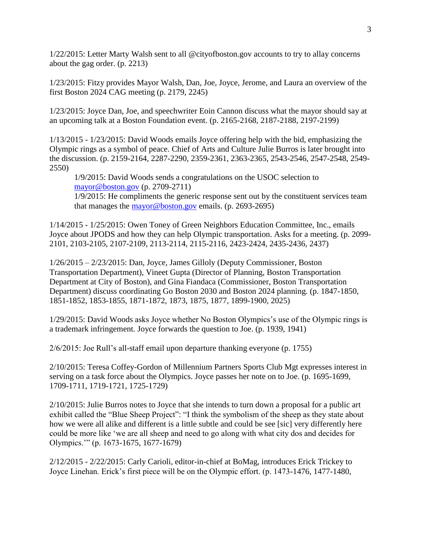1/22/2015: Letter Marty Walsh sent to all @cityofboston.gov accounts to try to allay concerns about the gag order. (p. 2213)

1/23/2015: Fitzy provides Mayor Walsh, Dan, Joe, Joyce, Jerome, and Laura an overview of the first Boston 2024 CAG meeting (p. 2179, 2245)

1/23/2015: Joyce Dan, Joe, and speechwriter Eoin Cannon discuss what the mayor should say at an upcoming talk at a Boston Foundation event. (p. 2165-2168, 2187-2188, 2197-2199)

1/13/2015 - 1/23/2015: David Woods emails Joyce offering help with the bid, emphasizing the Olympic rings as a symbol of peace. Chief of Arts and Culture Julie Burros is later brought into the discussion. (p. 2159-2164, 2287-2290, 2359-2361, 2363-2365, 2543-2546, 2547-2548, 2549- 2550)

1/9/2015: David Woods sends a congratulations on the USOC selection to [mayor@boston.gov](mailto:mayor@boston.gov) (p. 2709-2711) 1/9/2015: He compliments the generic response sent out by the constituent services team that manages the [mayor@boston.gov](mailto:mayor@boston.gov) emails. (p. 2693-2695)

1/14/2015 - 1/25/2015: Owen Toney of Green Neighbors Education Committee, Inc., emails Joyce about JPODS and how they can help Olympic transportation. Asks for a meeting. (p. 2099- 2101, 2103-2105, 2107-2109, 2113-2114, 2115-2116, 2423-2424, 2435-2436, 2437)

1/26/2015 – 2/23/2015: Dan, Joyce, James Gilloly (Deputy Commissioner, Boston Transportation Department), Vineet Gupta (Director of Planning, Boston Transportation Department at City of Boston), and Gina Fiandaca (Commissioner, Boston Transportation Department) discuss coordinating Go Boston 2030 and Boston 2024 planning. (p. 1847-1850, 1851-1852, 1853-1855, 1871-1872, 1873, 1875, 1877, 1899-1900, 2025)

1/29/2015: David Woods asks Joyce whether No Boston Olympics's use of the Olympic rings is a trademark infringement. Joyce forwards the question to Joe. (p. 1939, 1941)

2/6/2015: Joe Rull's all-staff email upon departure thanking everyone (p. 1755)

2/10/2015: Teresa Coffey-Gordon of Millennium Partners Sports Club Mgt expresses interest in serving on a task force about the Olympics. Joyce passes her note on to Joe. (p. 1695-1699, 1709-1711, 1719-1721, 1725-1729)

2/10/2015: Julie Burros notes to Joyce that she intends to turn down a proposal for a public art exhibit called the "Blue Sheep Project": "I think the symbolism of the sheep as they state about how we were all alike and different is a little subtle and could be see [sic] very differently here could be more like 'we are all sheep and need to go along with what city dos and decides for Olympics.'" (p. 1673-1675, 1677-1679)

2/12/2015 - 2/22/2015: Carly Carioli, editor-in-chief at BoMag, introduces Erick Trickey to Joyce Linehan. Erick's first piece will be on the Olympic effort. (p. 1473-1476, 1477-1480,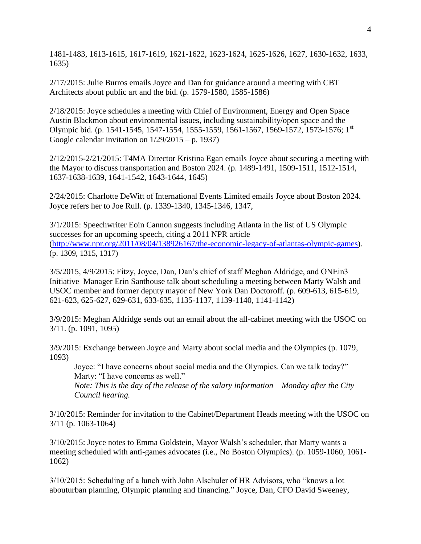1481-1483, 1613-1615, 1617-1619, 1621-1622, 1623-1624, 1625-1626, 1627, 1630-1632, 1633, 1635)

2/17/2015: Julie Burros emails Joyce and Dan for guidance around a meeting with CBT Architects about public art and the bid. (p. 1579-1580, 1585-1586)

2/18/2015: Joyce schedules a meeting with Chief of Environment, Energy and Open Space Austin Blackmon about environmental issues, including sustainability/open space and the Olympic bid. (p. 1541-1545, 1547-1554, 1555-1559, 1561-1567, 1569-1572, 1573-1576; 1st Google calendar invitation on 1/29/2015 – p. 1937)

2/12/2015-2/21/2015: T4MA Director Kristina Egan emails Joyce about securing a meeting with the Mayor to discuss transportation and Boston 2024. (p. 1489-1491, 1509-1511, 1512-1514, 1637-1638-1639, 1641-1542, 1643-1644, 1645)

2/24/2015: Charlotte DeWitt of International Events Limited emails Joyce about Boston 2024. Joyce refers her to Joe Rull. (p. 1339-1340, 1345-1346, 1347,

3/1/2015: Speechwriter Eoin Cannon suggests including Atlanta in the list of US Olympic successes for an upcoming speech, citing a 2011 NPR article [\(http://www.npr.org/2011/08/04/138926167/the-economic-legacy-of-atlantas-olympic-games](http://www.npr.org/2011/08/04/138926167/the-economic-legacy-of-atlantas-olympic-games)). (p. 1309, 1315, 1317)

3/5/2015, 4/9/2015: Fitzy, Joyce, Dan, Dan's chief of staff Meghan Aldridge, and ONEin3 Initiative Manager Erin Santhouse talk about scheduling a meeting between Marty Walsh and USOC member and former deputy mayor of New York Dan Doctoroff. (p. 609-613, 615-619, 621-623, 625-627, 629-631, 633-635, 1135-1137, 1139-1140, 1141-1142)

3/9/2015: Meghan Aldridge sends out an email about the all-cabinet meeting with the USOC on 3/11. (p. 1091, 1095)

3/9/2015: Exchange between Joyce and Marty about social media and the Olympics (p. 1079, 1093)

Joyce: "I have concerns about social media and the Olympics. Can we talk today?" Marty: "I have concerns as well."

*Note: This is the day of the release of the salary information – Monday after the City Council hearing.* 

3/10/2015: Reminder for invitation to the Cabinet/Department Heads meeting with the USOC on 3/11 (p. 1063-1064)

3/10/2015: Joyce notes to Emma Goldstein, Mayor Walsh's scheduler, that Marty wants a meeting scheduled with anti-games advocates (i.e., No Boston Olympics). (p. 1059-1060, 1061- 1062)

3/10/2015: Scheduling of a lunch with John Alschuler of HR Advisors, who "knows a lot abouturban planning, Olympic planning and financing." Joyce, Dan, CFO David Sweeney,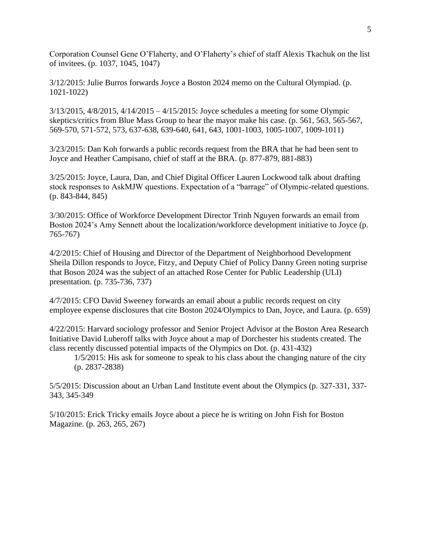Corporation Counsel Gene O'Flaherty, and O'Flaherty's chief of staff Alexis Tkachuk on the list of invitees. (p. 1037, 1045, 1047)

3/12/2015: Julie Burros forwards Joyce a Boston 2024 memo on the Cultural Olympiad. (p. 1021-1022)

 $3/13/2015$ ,  $4/8/2015$ ,  $4/14/2015 - 4/15/2015$ : Joyce schedules a meeting for some Olympic skeptics/critics from Blue Mass Group to hear the mayor make his case. (p. 561, 563, 565-567, 569-570, 571-572, 573, 637-638, 639-640, 641, 643, 1001-1003, 1005-1007, 1009-1011)

3/23/2015: Dan Koh forwards a public records request from the BRA that he had been sent to Joyce and Heather Campisano, chief of staff at the BRA. (p. 877-879, 881-883)

3/25/2015: Joyce, Laura, Dan, and Chief Digital Officer Lauren Lockwood talk about drafting stock responses to AskMJW questions. Expectation of a "barrage" of Olympic-related questions. (p. 843-844, 845)

3/30/2015: Office of Workforce Development Director Trinh Nguyen forwards an email from Boston 2024's Amy Sennett about the localization/workforce development initiative to Joyce (p. 765-767)

4/2/2015: Chief of Housing and Director of the Department of Neighborhood Development Sheila Dillon responds to Joyce, Fitzy, and Deputy Chief of Policy Danny Green noting surprise that Boson 2024 was the subject of an attached Rose Center for Public Leadership (ULI) presentation. (p. 735-736, 737)

4/7/2015: CFO David Sweeney forwards an email about a public records request on city employee expense disclosures that cite Boston 2024/Olympics to Dan, Joyce, and Laura. (p. 659)

4/22/2015: Harvard sociology professor and Senior Project Advisor at the Boston Area Research Initiative David Luberoff talks with Joyce about a map of Dorchester his students created. The class recently discussed potential impacts of the Olympics on Dot. (p. 431-432)

1/5/2015: His ask for someone to speak to his class about the changing nature of the city (p. 2837-2838)

5/5/2015: Discussion about an Urban Land Institute event about the Olympics (p. 327-331, 337- 343, 345-349

5/10/2015: Erick Tricky emails Joyce about a piece he is writing on John Fish for Boston Magazine. (p. 263, 265, 267)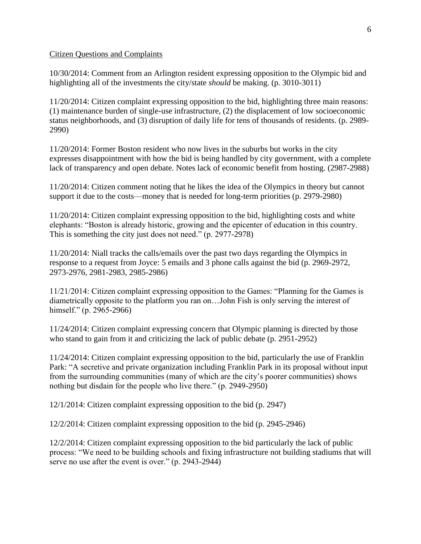#### Citizen Questions and Complaints

10/30/2014: Comment from an Arlington resident expressing opposition to the Olympic bid and highlighting all of the investments the city/state *should* be making. (p. 3010-3011)

11/20/2014: Citizen complaint expressing opposition to the bid, highlighting three main reasons: (1) maintenance burden of single-use infrastructure, (2) the displacement of low socioeconomic status neighborhoods, and (3) disruption of daily life for tens of thousands of residents. (p. 2989- 2990)

11/20/2014: Former Boston resident who now lives in the suburbs but works in the city expresses disappointment with how the bid is being handled by city government, with a complete lack of transparency and open debate. Notes lack of economic benefit from hosting. (2987-2988)

11/20/2014: Citizen comment noting that he likes the idea of the Olympics in theory but cannot support it due to the costs—money that is needed for long-term priorities (p. 2979-2980)

11/20/2014: Citizen complaint expressing opposition to the bid, highlighting costs and white elephants: "Boston is already historic, growing and the epicenter of education in this country. This is something the city just does not need." (p. 2977-2978)

11/20/2014: Niall tracks the calls/emails over the past two days regarding the Olympics in response to a request from Joyce: 5 emails and 3 phone calls against the bid (p. 2969-2972, 2973-2976, 2981-2983, 2985-2986)

11/21/2014: Citizen complaint expressing opposition to the Games: "Planning for the Games is diametrically opposite to the platform you ran on…John Fish is only serving the interest of himself." (p. 2965-2966)

11/24/2014: Citizen complaint expressing concern that Olympic planning is directed by those who stand to gain from it and criticizing the lack of public debate (p. 2951-2952)

11/24/2014: Citizen complaint expressing opposition to the bid, particularly the use of Franklin Park: "A secretive and private organization including Franklin Park in its proposal without input from the surrounding communities (many of which are the city's poorer communities) shows nothing but disdain for the people who live there." (p. 2949-2950)

12/1/2014: Citizen complaint expressing opposition to the bid (p. 2947)

12/2/2014: Citizen complaint expressing opposition to the bid (p. 2945-2946)

12/2/2014: Citizen complaint expressing opposition to the bid particularly the lack of public process: "We need to be building schools and fixing infrastructure not building stadiums that will serve no use after the event is over." (p. 2943-2944)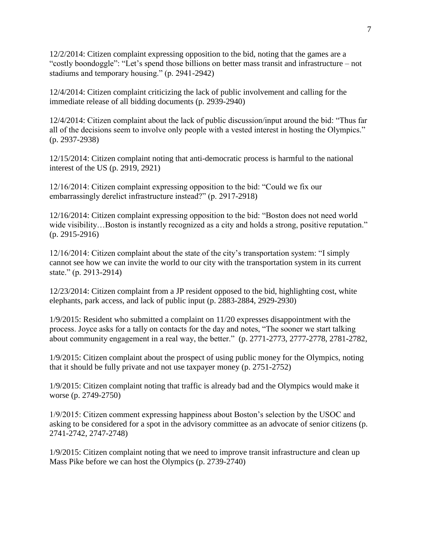12/2/2014: Citizen complaint expressing opposition to the bid, noting that the games are a "costly boondoggle": "Let's spend those billions on better mass transit and infrastructure – not stadiums and temporary housing." (p. 2941-2942)

12/4/2014: Citizen complaint criticizing the lack of public involvement and calling for the immediate release of all bidding documents (p. 2939-2940)

12/4/2014: Citizen complaint about the lack of public discussion/input around the bid: "Thus far all of the decisions seem to involve only people with a vested interest in hosting the Olympics." (p. 2937-2938)

12/15/2014: Citizen complaint noting that anti-democratic process is harmful to the national interest of the US (p. 2919, 2921)

12/16/2014: Citizen complaint expressing opposition to the bid: "Could we fix our embarrassingly derelict infrastructure instead?" (p. 2917-2918)

12/16/2014: Citizen complaint expressing opposition to the bid: "Boston does not need world wide visibility...Boston is instantly recognized as a city and holds a strong, positive reputation." (p. 2915-2916)

12/16/2014: Citizen complaint about the state of the city's transportation system: "I simply cannot see how we can invite the world to our city with the transportation system in its current state." (p. 2913-2914)

12/23/2014: Citizen complaint from a JP resident opposed to the bid, highlighting cost, white elephants, park access, and lack of public input (p. 2883-2884, 2929-2930)

1/9/2015: Resident who submitted a complaint on 11/20 expresses disappointment with the process. Joyce asks for a tally on contacts for the day and notes, "The sooner we start talking about community engagement in a real way, the better." (p. 2771-2773, 2777-2778, 2781-2782,

1/9/2015: Citizen complaint about the prospect of using public money for the Olympics, noting that it should be fully private and not use taxpayer money (p. 2751-2752)

1/9/2015: Citizen complaint noting that traffic is already bad and the Olympics would make it worse (p. 2749-2750)

1/9/2015: Citizen comment expressing happiness about Boston's selection by the USOC and asking to be considered for a spot in the advisory committee as an advocate of senior citizens (p. 2741-2742, 2747-2748)

1/9/2015: Citizen complaint noting that we need to improve transit infrastructure and clean up Mass Pike before we can host the Olympics (p. 2739-2740)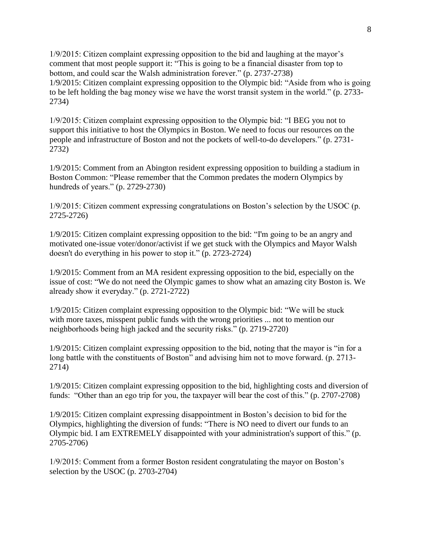1/9/2015: Citizen complaint expressing opposition to the bid and laughing at the mayor's comment that most people support it: "This is going to be a financial disaster from top to bottom, and could scar the Walsh administration forever." (p. 2737-2738) 1/9/2015: Citizen complaint expressing opposition to the Olympic bid: "Aside from who is going to be left holding the bag money wise we have the worst transit system in the world." (p. 2733- 2734)

1/9/2015: Citizen complaint expressing opposition to the Olympic bid: "I BEG you not to support this initiative to host the Olympics in Boston. We need to focus our resources on the people and infrastructure of Boston and not the pockets of well-to-do developers." (p. 2731- 2732)

1/9/2015: Comment from an Abington resident expressing opposition to building a stadium in Boston Common: "Please remember that the Common predates the modern Olympics by hundreds of years." (p. 2729-2730)

1/9/2015: Citizen comment expressing congratulations on Boston's selection by the USOC (p. 2725-2726)

1/9/2015: Citizen complaint expressing opposition to the bid: "I'm going to be an angry and motivated one-issue voter/donor/activist if we get stuck with the Olympics and Mayor Walsh doesn't do everything in his power to stop it." (p. 2723-2724)

1/9/2015: Comment from an MA resident expressing opposition to the bid, especially on the issue of cost: "We do not need the Olympic games to show what an amazing city Boston is. We already show it everyday." (p. 2721-2722)

1/9/2015: Citizen complaint expressing opposition to the Olympic bid: "We will be stuck with more taxes, misspent public funds with the wrong priorities ... not to mention our neighborhoods being high jacked and the security risks." (p. 2719-2720)

1/9/2015: Citizen complaint expressing opposition to the bid, noting that the mayor is "in for a long battle with the constituents of Boston" and advising him not to move forward. (p. 2713-2714)

1/9/2015: Citizen complaint expressing opposition to the bid, highlighting costs and diversion of funds: "Other than an ego trip for you, the taxpayer will bear the cost of this." (p. 2707-2708)

1/9/2015: Citizen complaint expressing disappointment in Boston's decision to bid for the Olympics, highlighting the diversion of funds: "There is NO need to divert our funds to an Olympic bid. I am EXTREMELY disappointed with your administration's support of this." (p. 2705-2706)

1/9/2015: Comment from a former Boston resident congratulating the mayor on Boston's selection by the USOC (p. 2703-2704)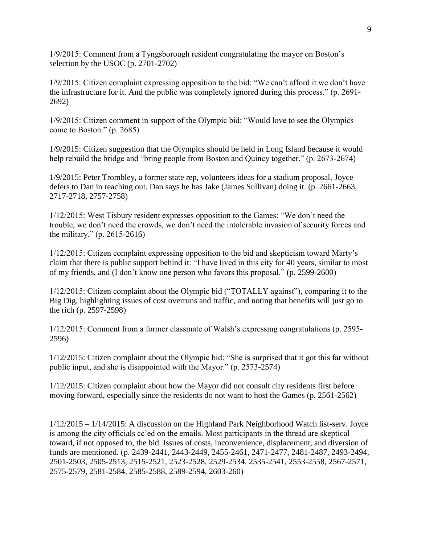1/9/2015: Comment from a Tyngsborough resident congratulating the mayor on Boston's selection by the USOC (p. 2701-2702)

1/9/2015: Citizen complaint expressing opposition to the bid: "We can't afford it we don't have the infrastructure for it. And the public was completely ignored during this process." (p. 2691- 2692)

1/9/2015: Citizen comment in support of the Olympic bid: "Would love to see the Olympics come to Boston." (p. 2685)

1/9/2015: Citizen suggestion that the Olympics should be held in Long Island because it would help rebuild the bridge and "bring people from Boston and Quincy together." (p. 2673-2674)

1/9/2015: Peter Trombley, a former state rep, volunteers ideas for a stadium proposal. Joyce defers to Dan in reaching out. Dan says he has Jake (James Sullivan) doing it. (p. 2661-2663, 2717-2718, 2757-2758)

1/12/2015: West Tisbury resident expresses opposition to the Games: "We don't need the trouble, we don't need the crowds, we don't need the intolerable invasion of security forces and the military." (p. 2615-2616)

1/12/2015: Citizen complaint expressing opposition to the bid and skepticism toward Marty's claim that there is public support behind it: "I have lived in this city for 40 years, similar to most of my friends, and (I don't know one person who favors this proposal." (p. 2599-2600)

1/12/2015: Citizen complaint about the Olympic bid ("TOTALLY against"), comparing it to the Big Dig, highlighting issues of cost overruns and traffic, and noting that benefits will just go to the rich (p. 2597-2598)

1/12/2015: Comment from a former classmate of Walsh's expressing congratulations (p. 2595- 2596)

1/12/2015: Citizen complaint about the Olympic bid: "She is surprised that it got this far without public input, and she is disappointed with the Mayor." (p. 2573-2574)

1/12/2015: Citizen complaint about how the Mayor did not consult city residents first before moving forward, especially since the residents do not want to host the Games (p. 2561-2562)

1/12/2015 – 1/14/2015: A discussion on the Highland Park Neighborhood Watch list-serv. Joyce is among the city officials cc'ed on the emails. Most participants in the thread are skeptical toward, if not opposed to, the bid. Issues of costs, inconvenience, displacement, and diversion of funds are mentioned. (p. 2439-2441, 2443-2449, 2455-2461, 2471-2477, 2481-2487, 2493-2494, 2501-2503, 2505-2513, 2515-2521, 2523-2528, 2529-2534, 2535-2541, 2553-2558, 2567-2571, 2575-2579, 2581-2584, 2585-2588, 2589-2594, 2603-260)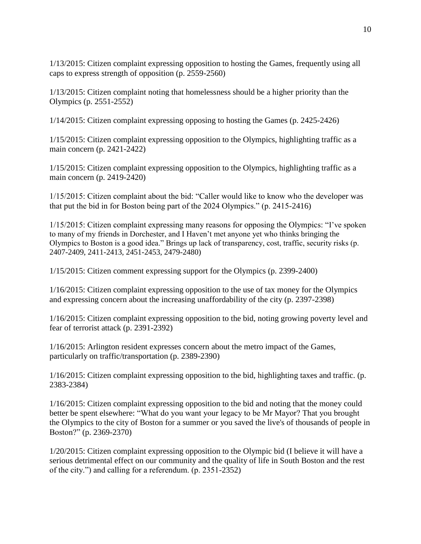1/13/2015: Citizen complaint expressing opposition to hosting the Games, frequently using all caps to express strength of opposition (p. 2559-2560)

1/13/2015: Citizen complaint noting that homelessness should be a higher priority than the Olympics (p. 2551-2552)

1/14/2015: Citizen complaint expressing opposing to hosting the Games (p. 2425-2426)

1/15/2015: Citizen complaint expressing opposition to the Olympics, highlighting traffic as a main concern (p. 2421-2422)

1/15/2015: Citizen complaint expressing opposition to the Olympics, highlighting traffic as a main concern (p. 2419-2420)

1/15/2015: Citizen complaint about the bid: "Caller would like to know who the developer was that put the bid in for Boston being part of the 2024 Olympics." (p. 2415-2416)

1/15/2015: Citizen complaint expressing many reasons for opposing the Olympics: "I've spoken to many of my friends in Dorchester, and I Haven't met anyone yet who thinks bringing the Olympics to Boston is a good idea." Brings up lack of transparency, cost, traffic, security risks (p. 2407-2409, 2411-2413, 2451-2453, 2479-2480)

1/15/2015: Citizen comment expressing support for the Olympics (p. 2399-2400)

1/16/2015: Citizen complaint expressing opposition to the use of tax money for the Olympics and expressing concern about the increasing unaffordability of the city (p. 2397-2398)

1/16/2015: Citizen complaint expressing opposition to the bid, noting growing poverty level and fear of terrorist attack (p. 2391-2392)

1/16/2015: Arlington resident expresses concern about the metro impact of the Games, particularly on traffic/transportation (p. 2389-2390)

1/16/2015: Citizen complaint expressing opposition to the bid, highlighting taxes and traffic. (p. 2383-2384)

1/16/2015: Citizen complaint expressing opposition to the bid and noting that the money could better be spent elsewhere: "What do you want your legacy to be Mr Mayor? That you brought the Olympics to the city of Boston for a summer or you saved the live's of thousands of people in Boston?" (p. 2369-2370)

1/20/2015: Citizen complaint expressing opposition to the Olympic bid (I believe it will have a serious detrimental effect on our community and the quality of life in South Boston and the rest of the city.") and calling for a referendum. (p. 2351-2352)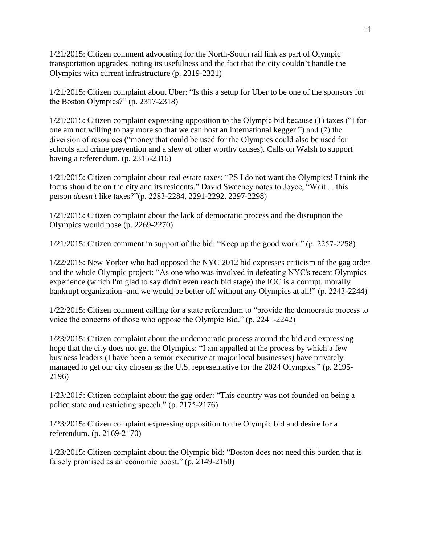1/21/2015: Citizen comment advocating for the North-South rail link as part of Olympic transportation upgrades, noting its usefulness and the fact that the city couldn't handle the Olympics with current infrastructure (p. 2319-2321)

1/21/2015: Citizen complaint about Uber: "Is this a setup for Uber to be one of the sponsors for the Boston Olympics?" (p. 2317-2318)

1/21/2015: Citizen complaint expressing opposition to the Olympic bid because (1) taxes ("I for one am not willing to pay more so that we can host an international kegger.") and (2) the diversion of resources ("money that could be used for the Olympics could also be used for schools and crime prevention and a slew of other worthy causes). Calls on Walsh to support having a referendum. (p. 2315-2316)

1/21/2015: Citizen complaint about real estate taxes: "PS I do not want the Olympics! I think the focus should be on the city and its residents." David Sweeney notes to Joyce, "Wait ... this person *doesn't* like taxes?"(p. 2283-2284, 2291-2292, 2297-2298)

1/21/2015: Citizen complaint about the lack of democratic process and the disruption the Olympics would pose (p. 2269-2270)

1/21/2015: Citizen comment in support of the bid: "Keep up the good work." (p. 2257-2258)

1/22/2015: New Yorker who had opposed the NYC 2012 bid expresses criticism of the gag order and the whole Olympic project: "As one who was involved in defeating NYC's recent Olympics experience (which I'm glad to say didn't even reach bid stage) the IOC is a corrupt, morally bankrupt organization -and we would be better off without any Olympics at all!" (p. 2243-2244)

1/22/2015: Citizen comment calling for a state referendum to "provide the democratic process to voice the concerns of those who oppose the Olympic Bid." (p. 2241-2242)

1/23/2015: Citizen complaint about the undemocratic process around the bid and expressing hope that the city does not get the Olympics: "I am appalled at the process by which a few business leaders (I have been a senior executive at major local businesses) have privately managed to get our city chosen as the U.S. representative for the 2024 Olympics." (p. 2195- 2196)

1/23/2015: Citizen complaint about the gag order: "This country was not founded on being a police state and restricting speech." (p. 2175-2176)

1/23/2015: Citizen complaint expressing opposition to the Olympic bid and desire for a referendum. (p. 2169-2170)

1/23/2015: Citizen complaint about the Olympic bid: "Boston does not need this burden that is falsely promised as an economic boost." (p. 2149-2150)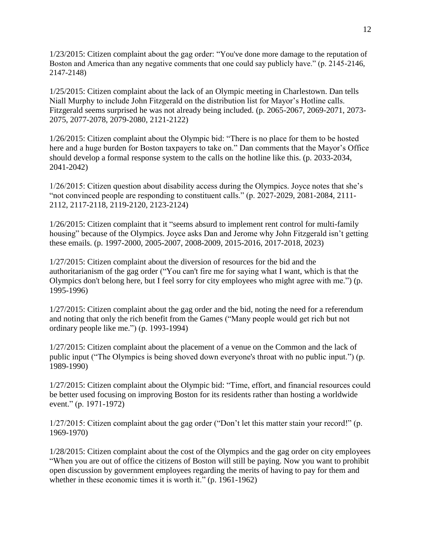1/23/2015: Citizen complaint about the gag order: "You've done more damage to the reputation of Boston and America than any negative comments that one could say publicly have." (p. 2145-2146, 2147-2148)

1/25/2015: Citizen complaint about the lack of an Olympic meeting in Charlestown. Dan tells Niall Murphy to include John Fitzgerald on the distribution list for Mayor's Hotline calls. Fitzgerald seems surprised he was not already being included. (p. 2065-2067, 2069-2071, 2073- 2075, 2077-2078, 2079-2080, 2121-2122)

1/26/2015: Citizen complaint about the Olympic bid: "There is no place for them to be hosted here and a huge burden for Boston taxpayers to take on." Dan comments that the Mayor's Office should develop a formal response system to the calls on the hotline like this. (p. 2033-2034, 2041-2042)

1/26/2015: Citizen question about disability access during the Olympics. Joyce notes that she's "not convinced people are responding to constituent calls." (p. 2027-2029, 2081-2084, 2111- 2112, 2117-2118, 2119-2120, 2123-2124)

1/26/2015: Citizen complaint that it "seems absurd to implement rent control for multi-family housing" because of the Olympics. Joyce asks Dan and Jerome why John Fitzgerald isn't getting these emails. (p. 1997-2000, 2005-2007, 2008-2009, 2015-2016, 2017-2018, 2023)

1/27/2015: Citizen complaint about the diversion of resources for the bid and the authoritarianism of the gag order ("You can't fire me for saying what I want, which is that the Olympics don't belong here, but I feel sorry for city employees who might agree with me.") (p. 1995-1996)

1/27/2015: Citizen complaint about the gag order and the bid, noting the need for a referendum and noting that only the rich benefit from the Games ("Many people would get rich but not ordinary people like me.") (p. 1993-1994)

1/27/2015: Citizen complaint about the placement of a venue on the Common and the lack of public input ("The Olympics is being shoved down everyone's throat with no public input.") (p. 1989-1990)

1/27/2015: Citizen complaint about the Olympic bid: "Time, effort, and financial resources could be better used focusing on improving Boston for its residents rather than hosting a worldwide event." (p. 1971-1972)

1/27/2015: Citizen complaint about the gag order ("Don't let this matter stain your record!" (p. 1969-1970)

1/28/2015: Citizen complaint about the cost of the Olympics and the gag order on city employees "When you are out of office the citizens of Boston will still be paying. Now you want to prohibit open discussion by government employees regarding the merits of having to pay for them and whether in these economic times it is worth it." (p. 1961-1962)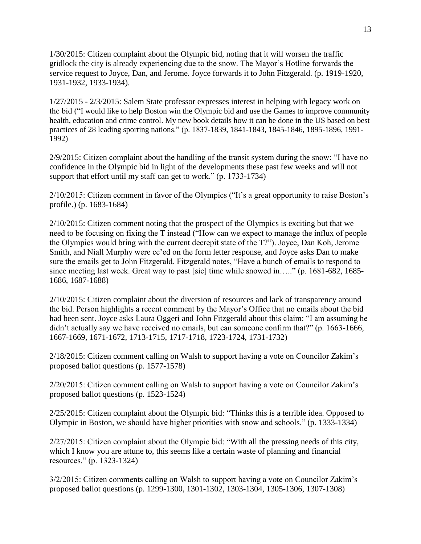1/30/2015: Citizen complaint about the Olympic bid, noting that it will worsen the traffic gridlock the city is already experiencing due to the snow. The Mayor's Hotline forwards the service request to Joyce, Dan, and Jerome. Joyce forwards it to John Fitzgerald. (p. 1919-1920, 1931-1932, 1933-1934).

1/27/2015 - 2/3/2015: Salem State professor expresses interest in helping with legacy work on the bid ("I would like to help Boston win the Olympic bid and use the Games to improve community health, education and crime control. My new book details how it can be done in the US based on best practices of 28 leading sporting nations." (p. 1837-1839, 1841-1843, 1845-1846, 1895-1896, 1991- 1992)

2/9/2015: Citizen complaint about the handling of the transit system during the snow: "I have no confidence in the Olympic bid in light of the developments these past few weeks and will not support that effort until my staff can get to work." (p. 1733-1734)

2/10/2015: Citizen comment in favor of the Olympics ("It's a great opportunity to raise Boston's profile.) (p. 1683-1684)

2/10/2015: Citizen comment noting that the prospect of the Olympics is exciting but that we need to be focusing on fixing the T instead ("How can we expect to manage the influx of people the Olympics would bring with the current decrepit state of the T?"). Joyce, Dan Koh, Jerome Smith, and Niall Murphy were cc'ed on the form letter response, and Joyce asks Dan to make sure the emails get to John Fitzgerald. Fitzgerald notes, "Have a bunch of emails to respond to since meeting last week. Great way to past [sic] time while snowed in….." (p. 1681-682, 1685-1686, 1687-1688)

2/10/2015: Citizen complaint about the diversion of resources and lack of transparency around the bid. Person highlights a recent comment by the Mayor's Office that no emails about the bid had been sent. Joyce asks Laura Oggeri and John Fitzgerald about this claim: "I am assuming he didn't actually say we have received no emails, but can someone confirm that?" (p. 1663-1666, 1667-1669, 1671-1672, 1713-1715, 1717-1718, 1723-1724, 1731-1732)

2/18/2015: Citizen comment calling on Walsh to support having a vote on Councilor Zakim's proposed ballot questions (p. 1577-1578)

2/20/2015: Citizen comment calling on Walsh to support having a vote on Councilor Zakim's proposed ballot questions (p. 1523-1524)

2/25/2015: Citizen complaint about the Olympic bid: "Thinks this is a terrible idea. Opposed to Olympic in Boston, we should have higher priorities with snow and schools." (p. 1333-1334)

2/27/2015: Citizen complaint about the Olympic bid: "With all the pressing needs of this city, which I know you are attune to, this seems like a certain waste of planning and financial resources." (p. 1323-1324)

3/2/2015: Citizen comments calling on Walsh to support having a vote on Councilor Zakim's proposed ballot questions (p. 1299-1300, 1301-1302, 1303-1304, 1305-1306, 1307-1308)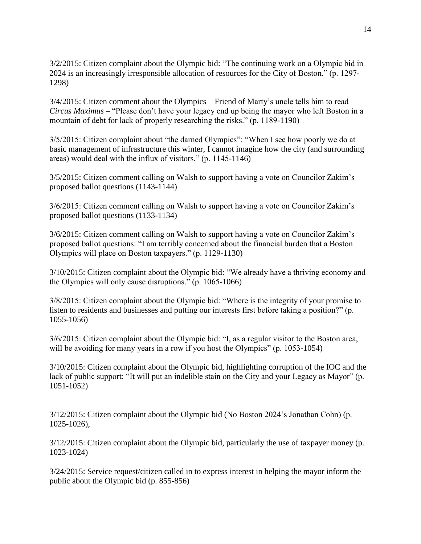3/2/2015: Citizen complaint about the Olympic bid: "The continuing work on a Olympic bid in 2024 is an increasingly irresponsible allocation of resources for the City of Boston." (p. 1297- 1298)

3/4/2015: Citizen comment about the Olympics—Friend of Marty's uncle tells him to read *Circus Maximus* – "Please don't have your legacy end up being the mayor who left Boston in a mountain of debt for lack of properly researching the risks." (p. 1189-1190)

3/5/2015: Citizen complaint about "the darned Olympics": "When I see how poorly we do at basic management of infrastructure this winter, I cannot imagine how the city (and surrounding areas) would deal with the influx of visitors." (p. 1145-1146)

3/5/2015: Citizen comment calling on Walsh to support having a vote on Councilor Zakim's proposed ballot questions (1143-1144)

3/6/2015: Citizen comment calling on Walsh to support having a vote on Councilor Zakim's proposed ballot questions (1133-1134)

3/6/2015: Citizen comment calling on Walsh to support having a vote on Councilor Zakim's proposed ballot questions: "I am terribly concerned about the financial burden that a Boston Olympics will place on Boston taxpayers." (p. 1129-1130)

3/10/2015: Citizen complaint about the Olympic bid: "We already have a thriving economy and the Olympics will only cause disruptions." (p. 1065-1066)

3/8/2015: Citizen complaint about the Olympic bid: "Where is the integrity of your promise to listen to residents and businesses and putting our interests first before taking a position?" (p. 1055-1056)

3/6/2015: Citizen complaint about the Olympic bid: "I, as a regular visitor to the Boston area, will be avoiding for many years in a row if you host the Olympics" (p. 1053-1054)

3/10/2015: Citizen complaint about the Olympic bid, highlighting corruption of the IOC and the lack of public support: "It will put an indelible stain on the City and your Legacy as Mayor" (p. 1051-1052)

3/12/2015: Citizen complaint about the Olympic bid (No Boston 2024's Jonathan Cohn) (p. 1025-1026),

3/12/2015: Citizen complaint about the Olympic bid, particularly the use of taxpayer money (p. 1023-1024)

3/24/2015: Service request/citizen called in to express interest in helping the mayor inform the public about the Olympic bid (p. 855-856)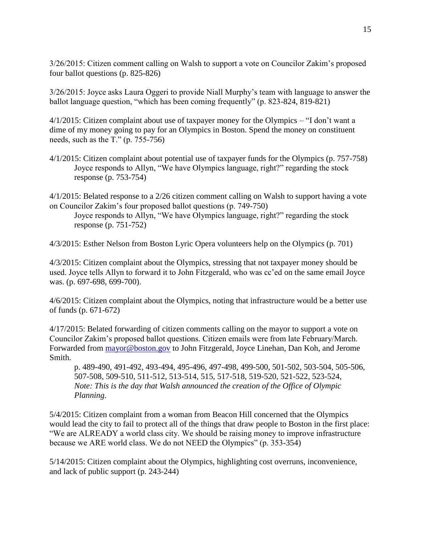3/26/2015: Citizen comment calling on Walsh to support a vote on Councilor Zakim's proposed four ballot questions (p. 825-826)

3/26/2015: Joyce asks Laura Oggeri to provide Niall Murphy's team with language to answer the ballot language question, "which has been coming frequently" (p. 823-824, 819-821)

4/1/2015: Citizen complaint about use of taxpayer money for the Olympics – "I don't want a dime of my money going to pay for an Olympics in Boston. Spend the money on constituent needs, such as the T." (p. 755-756)

4/1/2015: Citizen complaint about potential use of taxpayer funds for the Olympics (p. 757-758) Joyce responds to Allyn, "We have Olympics language, right?" regarding the stock response (p. 753-754)

4/1/2015: Belated response to a 2/26 citizen comment calling on Walsh to support having a vote on Councilor Zakim's four proposed ballot questions (p. 749-750)

Joyce responds to Allyn, "We have Olympics language, right?" regarding the stock response (p. 751-752)

4/3/2015: Esther Nelson from Boston Lyric Opera volunteers help on the Olympics (p. 701)

4/3/2015: Citizen complaint about the Olympics, stressing that not taxpayer money should be used. Joyce tells Allyn to forward it to John Fitzgerald, who was cc'ed on the same email Joyce was. (p. 697-698, 699-700).

4/6/2015: Citizen complaint about the Olympics, noting that infrastructure would be a better use of funds (p. 671-672)

4/17/2015: Belated forwarding of citizen comments calling on the mayor to support a vote on Councilor Zakim's proposed ballot questions. Citizen emails were from late February/March. Forwarded from [mayor@boston.gov](mailto:mayor@boston.gov) to John Fitzgerald, Joyce Linehan, Dan Koh, and Jerome Smith.

p. 489-490, 491-492, 493-494, 495-496, 497-498, 499-500, 501-502, 503-504, 505-506, 507-508, 509-510, 511-512, 513-514, 515, 517-518, 519-520, 521-522, 523-524, *Note: This is the day that Walsh announced the creation of the Office of Olympic Planning*.

5/4/2015: Citizen complaint from a woman from Beacon Hill concerned that the Olympics would lead the city to fail to protect all of the things that draw people to Boston in the first place: "We are ALREADY a world class city. We should be raising money to improve infrastructure because we ARE world class. We do not NEED the Olympics" (p. 353-354)

5/14/2015: Citizen complaint about the Olympics, highlighting cost overruns, inconvenience, and lack of public support (p. 243-244)